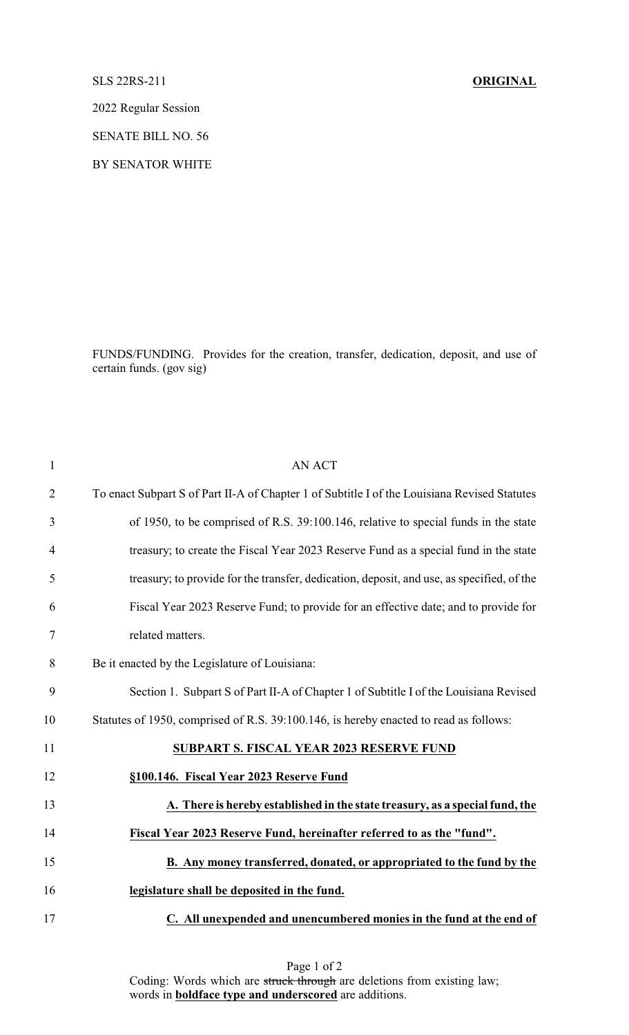## SLS 22RS-211 **ORIGINAL**

2022 Regular Session

SENATE BILL NO. 56

BY SENATOR WHITE

FUNDS/FUNDING. Provides for the creation, transfer, dedication, deposit, and use of certain funds. (gov sig)

| $\mathbf{1}$   | <b>AN ACT</b>                                                                                |
|----------------|----------------------------------------------------------------------------------------------|
| $\overline{2}$ | To enact Subpart S of Part II-A of Chapter 1 of Subtitle I of the Louisiana Revised Statutes |
| 3              | of 1950, to be comprised of R.S. 39:100.146, relative to special funds in the state          |
| $\overline{4}$ | treasury; to create the Fiscal Year 2023 Reserve Fund as a special fund in the state         |
| 5              | treasury; to provide for the transfer, dedication, deposit, and use, as specified, of the    |
| 6              | Fiscal Year 2023 Reserve Fund; to provide for an effective date; and to provide for          |
| 7              | related matters.                                                                             |
| 8              | Be it enacted by the Legislature of Louisiana:                                               |
| 9              | Section 1. Subpart S of Part II-A of Chapter 1 of Subtitle I of the Louisiana Revised        |
| 10             | Statutes of 1950, comprised of R.S. 39:100.146, is hereby enacted to read as follows:        |
| 11             | <b>SUBPART S. FISCAL YEAR 2023 RESERVE FUND</b>                                              |
| 12             | §100.146. Fiscal Year 2023 Reserve Fund                                                      |
| 13             | A. There is hereby established in the state treasury, as a special fund, the                 |
| 14             | Fiscal Year 2023 Reserve Fund, hereinafter referred to as the "fund".                        |
| 15             | B. Any money transferred, donated, or appropriated to the fund by the                        |
| 16             | legislature shall be deposited in the fund.                                                  |
| 17             | C. All unexpended and unencumbered monies in the fund at the end of                          |

Page 1 of 2 Coding: Words which are struck through are deletions from existing law; words in **boldface type and underscored** are additions.